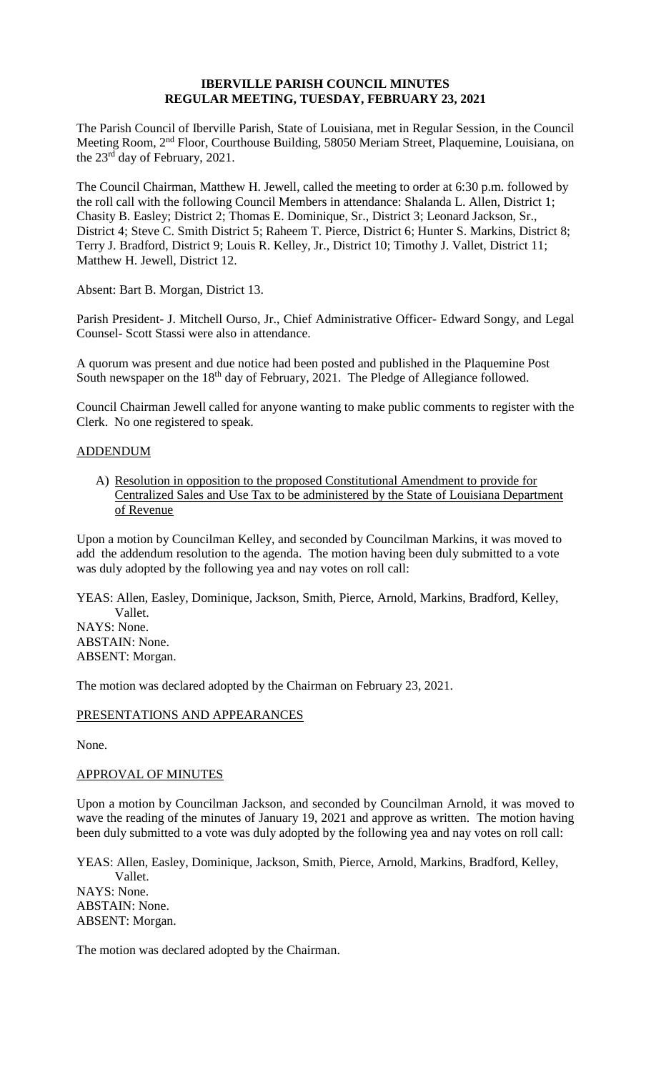### **IBERVILLE PARISH COUNCIL MINUTES REGULAR MEETING, TUESDAY, FEBRUARY 23, 2021**

The Parish Council of Iberville Parish, State of Louisiana, met in Regular Session, in the Council Meeting Room, 2nd Floor, Courthouse Building, 58050 Meriam Street, Plaquemine, Louisiana, on the 23rd day of February, 2021.

The Council Chairman, Matthew H. Jewell, called the meeting to order at 6:30 p.m. followed by the roll call with the following Council Members in attendance: Shalanda L. Allen, District 1; Chasity B. Easley; District 2; Thomas E. Dominique, Sr., District 3; Leonard Jackson, Sr., District 4; Steve C. Smith District 5; Raheem T. Pierce, District 6; Hunter S. Markins, District 8; Terry J. Bradford, District 9; Louis R. Kelley, Jr., District 10; Timothy J. Vallet, District 11; Matthew H. Jewell, District 12.

Absent: Bart B. Morgan, District 13.

Parish President- J. Mitchell Ourso, Jr., Chief Administrative Officer- Edward Songy, and Legal Counsel- Scott Stassi were also in attendance.

A quorum was present and due notice had been posted and published in the Plaquemine Post South newspaper on the 18<sup>th</sup> day of February, 2021. The Pledge of Allegiance followed.

Council Chairman Jewell called for anyone wanting to make public comments to register with the Clerk. No one registered to speak.

## ADDENDUM

A) Resolution in opposition to the proposed Constitutional Amendment to provide for Centralized Sales and Use Tax to be administered by the State of Louisiana Department of Revenue

Upon a motion by Councilman Kelley, and seconded by Councilman Markins, it was moved to add the addendum resolution to the agenda. The motion having been duly submitted to a vote was duly adopted by the following yea and nay votes on roll call:

YEAS: Allen, Easley, Dominique, Jackson, Smith, Pierce, Arnold, Markins, Bradford, Kelley, Vallet. NAYS: None. ABSTAIN: None. ABSENT: Morgan.

The motion was declared adopted by the Chairman on February 23, 2021.

# PRESENTATIONS AND APPEARANCES

None.

### APPROVAL OF MINUTES

Upon a motion by Councilman Jackson, and seconded by Councilman Arnold, it was moved to wave the reading of the minutes of January 19, 2021 and approve as written. The motion having been duly submitted to a vote was duly adopted by the following yea and nay votes on roll call:

YEAS: Allen, Easley, Dominique, Jackson, Smith, Pierce, Arnold, Markins, Bradford, Kelley, Vallet. NAYS: None. ABSTAIN: None. ABSENT: Morgan.

The motion was declared adopted by the Chairman.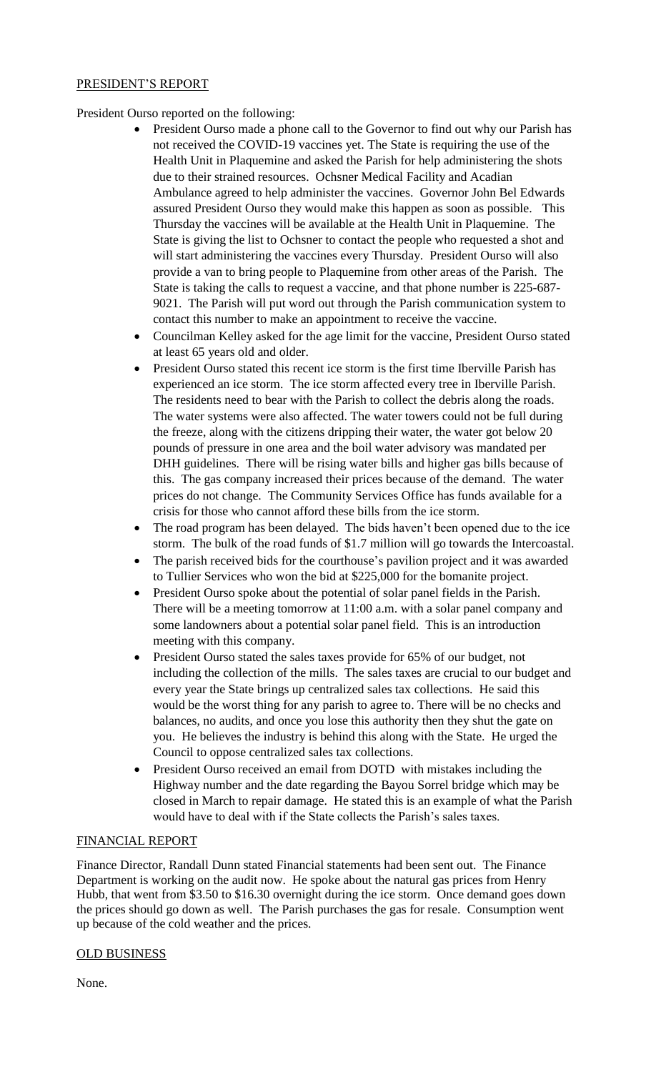## PRESIDENT'S REPORT

# President Ourso reported on the following:

- President Ourso made a phone call to the Governor to find out why our Parish has not received the COVID-19 vaccines yet. The State is requiring the use of the Health Unit in Plaquemine and asked the Parish for help administering the shots due to their strained resources. Ochsner Medical Facility and Acadian Ambulance agreed to help administer the vaccines. Governor John Bel Edwards assured President Ourso they would make this happen as soon as possible. This Thursday the vaccines will be available at the Health Unit in Plaquemine. The State is giving the list to Ochsner to contact the people who requested a shot and will start administering the vaccines every Thursday. President Ourso will also provide a van to bring people to Plaquemine from other areas of the Parish. The State is taking the calls to request a vaccine, and that phone number is 225-687- 9021. The Parish will put word out through the Parish communication system to contact this number to make an appointment to receive the vaccine.
- Councilman Kelley asked for the age limit for the vaccine, President Ourso stated at least 65 years old and older.
- President Ourso stated this recent ice storm is the first time Iberville Parish has experienced an ice storm. The ice storm affected every tree in Iberville Parish. The residents need to bear with the Parish to collect the debris along the roads. The water systems were also affected. The water towers could not be full during the freeze, along with the citizens dripping their water, the water got below 20 pounds of pressure in one area and the boil water advisory was mandated per DHH guidelines. There will be rising water bills and higher gas bills because of this. The gas company increased their prices because of the demand. The water prices do not change. The Community Services Office has funds available for a crisis for those who cannot afford these bills from the ice storm.
- The road program has been delayed. The bids haven't been opened due to the ice storm. The bulk of the road funds of \$1.7 million will go towards the Intercoastal.
- The parish received bids for the courthouse's pavilion project and it was awarded to Tullier Services who won the bid at \$225,000 for the bomanite project.
- President Ourso spoke about the potential of solar panel fields in the Parish. There will be a meeting tomorrow at 11:00 a.m. with a solar panel company and some landowners about a potential solar panel field. This is an introduction meeting with this company.
- President Ourso stated the sales taxes provide for 65% of our budget, not including the collection of the mills. The sales taxes are crucial to our budget and every year the State brings up centralized sales tax collections. He said this would be the worst thing for any parish to agree to. There will be no checks and balances, no audits, and once you lose this authority then they shut the gate on you. He believes the industry is behind this along with the State. He urged the Council to oppose centralized sales tax collections.
- President Ourso received an email from DOTD with mistakes including the Highway number and the date regarding the Bayou Sorrel bridge which may be closed in March to repair damage. He stated this is an example of what the Parish would have to deal with if the State collects the Parish's sales taxes.

### FINANCIAL REPORT

Finance Director, Randall Dunn stated Financial statements had been sent out. The Finance Department is working on the audit now. He spoke about the natural gas prices from Henry Hubb, that went from \$3.50 to \$16.30 overnight during the ice storm. Once demand goes down the prices should go down as well. The Parish purchases the gas for resale. Consumption went up because of the cold weather and the prices.

### OLD BUSINESS

None.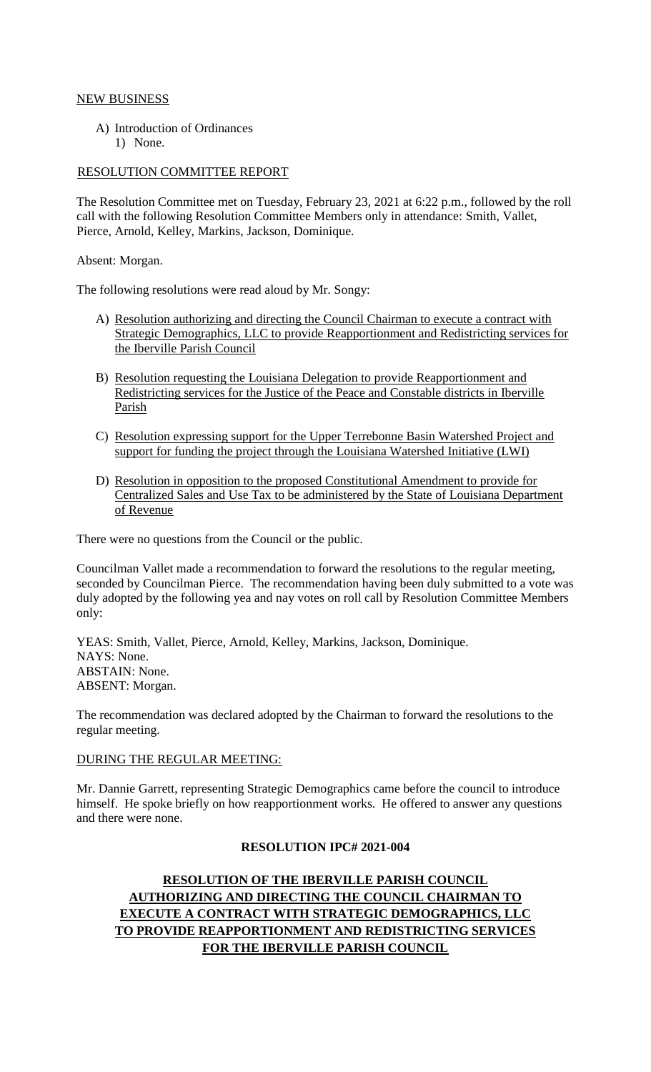## NEW BUSINESS

A) Introduction of Ordinances 1) None.

### RESOLUTION COMMITTEE REPORT

The Resolution Committee met on Tuesday, February 23, 2021 at 6:22 p.m., followed by the roll call with the following Resolution Committee Members only in attendance: Smith, Vallet, Pierce, Arnold, Kelley, Markins, Jackson, Dominique.

Absent: Morgan.

The following resolutions were read aloud by Mr. Songy:

- A) Resolution authorizing and directing the Council Chairman to execute a contract with Strategic Demographics, LLC to provide Reapportionment and Redistricting services for the Iberville Parish Council
- B) Resolution requesting the Louisiana Delegation to provide Reapportionment and Redistricting services for the Justice of the Peace and Constable districts in Iberville Parish
- C) Resolution expressing support for the Upper Terrebonne Basin Watershed Project and support for funding the project through the Louisiana Watershed Initiative (LWI)
- D) Resolution in opposition to the proposed Constitutional Amendment to provide for Centralized Sales and Use Tax to be administered by the State of Louisiana Department of Revenue

There were no questions from the Council or the public.

Councilman Vallet made a recommendation to forward the resolutions to the regular meeting, seconded by Councilman Pierce. The recommendation having been duly submitted to a vote was duly adopted by the following yea and nay votes on roll call by Resolution Committee Members only:

YEAS: Smith, Vallet, Pierce, Arnold, Kelley, Markins, Jackson, Dominique. NAYS: None. ABSTAIN: None. ABSENT: Morgan.

The recommendation was declared adopted by the Chairman to forward the resolutions to the regular meeting.

### DURING THE REGULAR MEETING:

Mr. Dannie Garrett, representing Strategic Demographics came before the council to introduce himself. He spoke briefly on how reapportionment works. He offered to answer any questions and there were none.

### **RESOLUTION IPC# 2021-004**

# **RESOLUTION OF THE IBERVILLE PARISH COUNCIL AUTHORIZING AND DIRECTING THE COUNCIL CHAIRMAN TO EXECUTE A CONTRACT WITH STRATEGIC DEMOGRAPHICS, LLC TO PROVIDE REAPPORTIONMENT AND REDISTRICTING SERVICES FOR THE IBERVILLE PARISH COUNCIL**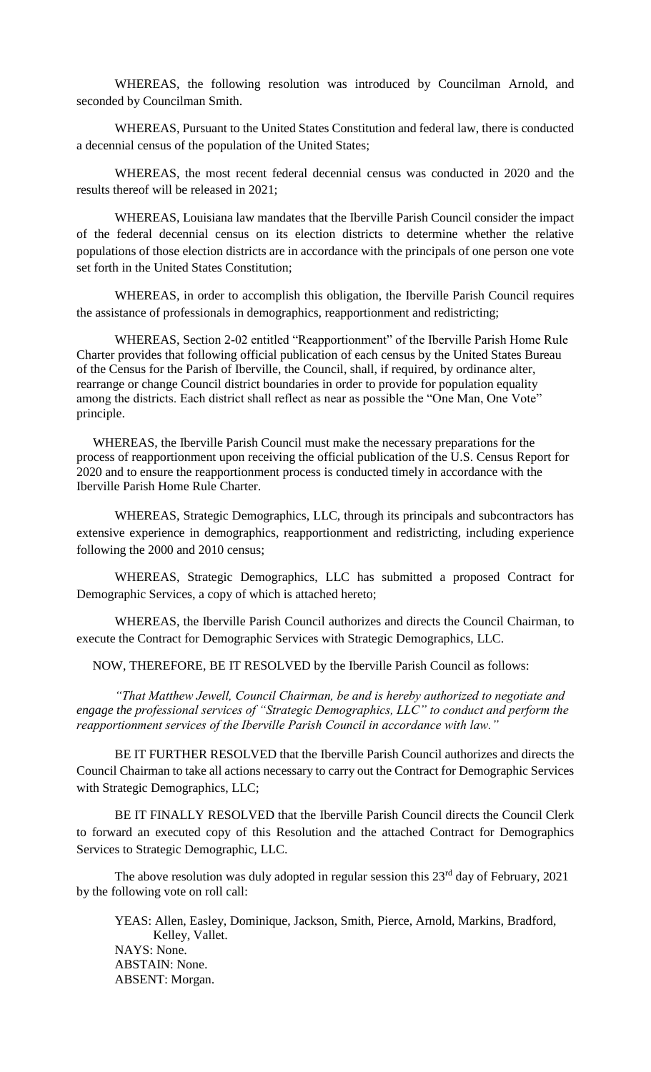WHEREAS, the following resolution was introduced by Councilman Arnold, and seconded by Councilman Smith.

WHEREAS, Pursuant to the United States Constitution and federal law, there is conducted a decennial census of the population of the United States;

WHEREAS, the most recent federal decennial census was conducted in 2020 and the results thereof will be released in 2021;

WHEREAS, Louisiana law mandates that the Iberville Parish Council consider the impact of the federal decennial census on its election districts to determine whether the relative populations of those election districts are in accordance with the principals of one person one vote set forth in the United States Constitution;

WHEREAS, in order to accomplish this obligation, the Iberville Parish Council requires the assistance of professionals in demographics, reapportionment and redistricting;

WHEREAS, Section 2-02 entitled "Reapportionment" of the Iberville Parish Home Rule Charter provides that following official publication of each census by the United States Bureau of the Census for the Parish of Iberville, the Council, shall, if required, by ordinance alter, rearrange or change Council district boundaries in order to provide for population equality among the districts. Each district shall reflect as near as possible the "One Man, One Vote" principle.

 WHEREAS, the Iberville Parish Council must make the necessary preparations for the process of reapportionment upon receiving the official publication of the U.S. Census Report for 2020 and to ensure the reapportionment process is conducted timely in accordance with the Iberville Parish Home Rule Charter.

WHEREAS, Strategic Demographics, LLC, through its principals and subcontractors has extensive experience in demographics, reapportionment and redistricting, including experience following the 2000 and 2010 census;

WHEREAS, Strategic Demographics, LLC has submitted a proposed Contract for Demographic Services, a copy of which is attached hereto;

WHEREAS, the Iberville Parish Council authorizes and directs the Council Chairman, to execute the Contract for Demographic Services with Strategic Demographics, LLC.

NOW, THEREFORE, BE IT RESOLVED by the Iberville Parish Council as follows:

*"That Matthew Jewell, Council Chairman, be and is hereby authorized to negotiate and engage the professional services of "Strategic Demographics, LLC" to conduct and perform the reapportionment services of the Iberville Parish Council in accordance with law."*

BE IT FURTHER RESOLVED that the Iberville Parish Council authorizes and directs the Council Chairman to take all actions necessary to carry out the Contract for Demographic Services with Strategic Demographics, LLC;

BE IT FINALLY RESOLVED that the Iberville Parish Council directs the Council Clerk to forward an executed copy of this Resolution and the attached Contract for Demographics Services to Strategic Demographic, LLC.

The above resolution was duly adopted in regular session this  $23<sup>rd</sup>$  day of February, 2021 by the following vote on roll call:

YEAS: Allen, Easley, Dominique, Jackson, Smith, Pierce, Arnold, Markins, Bradford, Kelley, Vallet. NAYS: None. ABSTAIN: None. ABSENT: Morgan.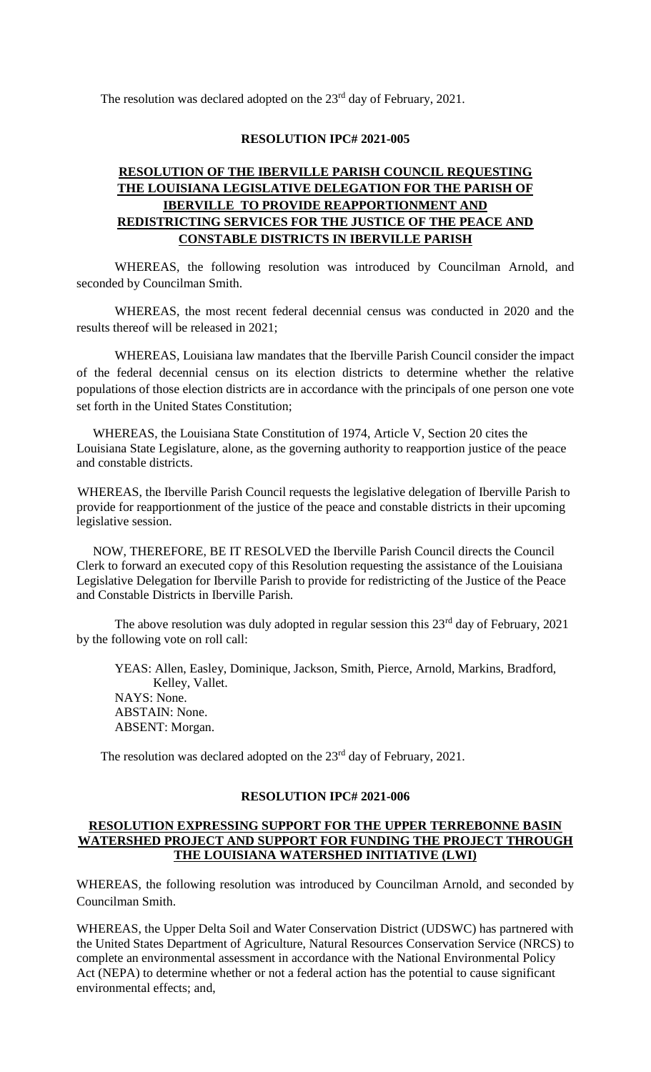The resolution was declared adopted on the  $23<sup>rd</sup>$  day of February, 2021.

### **RESOLUTION IPC# 2021-005**

# **RESOLUTION OF THE IBERVILLE PARISH COUNCIL REQUESTING THE LOUISIANA LEGISLATIVE DELEGATION FOR THE PARISH OF IBERVILLE TO PROVIDE REAPPORTIONMENT AND REDISTRICTING SERVICES FOR THE JUSTICE OF THE PEACE AND CONSTABLE DISTRICTS IN IBERVILLE PARISH**

WHEREAS, the following resolution was introduced by Councilman Arnold, and seconded by Councilman Smith.

WHEREAS, the most recent federal decennial census was conducted in 2020 and the results thereof will be released in 2021;

WHEREAS, Louisiana law mandates that the Iberville Parish Council consider the impact of the federal decennial census on its election districts to determine whether the relative populations of those election districts are in accordance with the principals of one person one vote set forth in the United States Constitution;

 WHEREAS, the Louisiana State Constitution of 1974, Article V, Section 20 cites the Louisiana State Legislature, alone, as the governing authority to reapportion justice of the peace and constable districts.

WHEREAS, the Iberville Parish Council requests the legislative delegation of Iberville Parish to provide for reapportionment of the justice of the peace and constable districts in their upcoming legislative session.

 NOW, THEREFORE, BE IT RESOLVED the Iberville Parish Council directs the Council Clerk to forward an executed copy of this Resolution requesting the assistance of the Louisiana Legislative Delegation for Iberville Parish to provide for redistricting of the Justice of the Peace and Constable Districts in Iberville Parish.

The above resolution was duly adopted in regular session this  $23<sup>rd</sup>$  day of February, 2021 by the following vote on roll call:

YEAS: Allen, Easley, Dominique, Jackson, Smith, Pierce, Arnold, Markins, Bradford, Kelley, Vallet. NAYS: None. ABSTAIN: None. ABSENT: Morgan.

The resolution was declared adopted on the 23<sup>rd</sup> day of February, 2021.

#### **RESOLUTION IPC# 2021-006**

### **RESOLUTION EXPRESSING SUPPORT FOR THE UPPER TERREBONNE BASIN WATERSHED PROJECT AND SUPPORT FOR FUNDING THE PROJECT THROUGH THE LOUISIANA WATERSHED INITIATIVE (LWI)**

WHEREAS, the following resolution was introduced by Councilman Arnold, and seconded by Councilman Smith.

WHEREAS, the Upper Delta Soil and Water Conservation District (UDSWC) has partnered with the United States Department of Agriculture, Natural Resources Conservation Service (NRCS) to complete an environmental assessment in accordance with the National Environmental Policy Act (NEPA) to determine whether or not a federal action has the potential to cause significant environmental effects; and,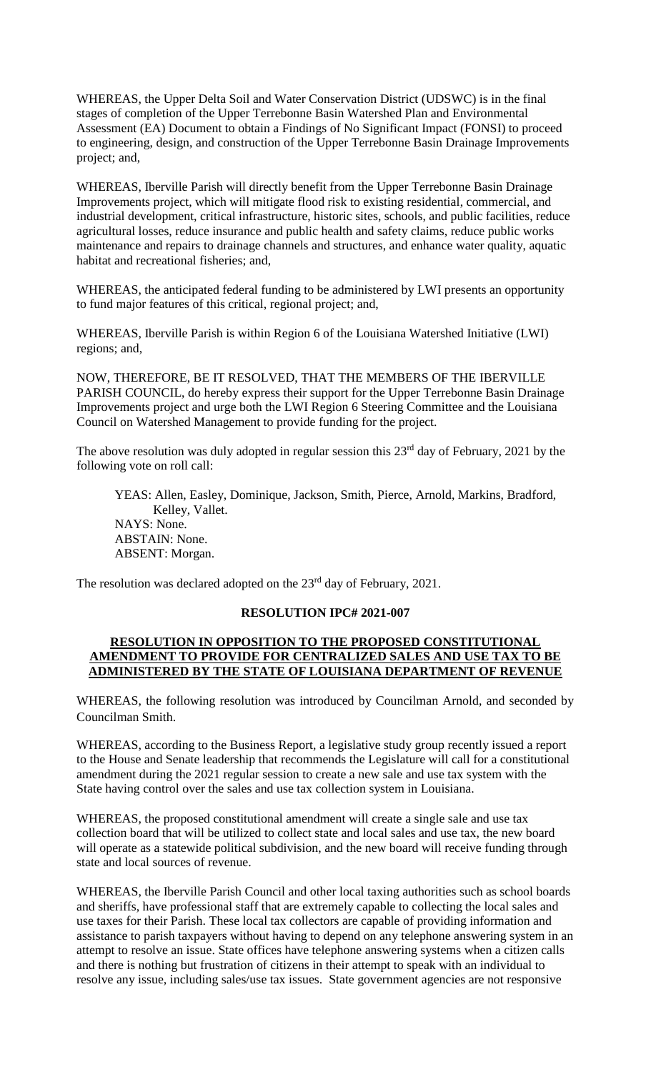WHEREAS, the Upper Delta Soil and Water Conservation District (UDSWC) is in the final stages of completion of the Upper Terrebonne Basin Watershed Plan and Environmental Assessment (EA) Document to obtain a Findings of No Significant Impact (FONSI) to proceed to engineering, design, and construction of the Upper Terrebonne Basin Drainage Improvements project; and,

WHEREAS, Iberville Parish will directly benefit from the Upper Terrebonne Basin Drainage Improvements project, which will mitigate flood risk to existing residential, commercial, and industrial development, critical infrastructure, historic sites, schools, and public facilities, reduce agricultural losses, reduce insurance and public health and safety claims, reduce public works maintenance and repairs to drainage channels and structures, and enhance water quality, aquatic habitat and recreational fisheries; and,

WHEREAS, the anticipated federal funding to be administered by LWI presents an opportunity to fund major features of this critical, regional project; and,

WHEREAS, Iberville Parish is within Region 6 of the Louisiana Watershed Initiative (LWI) regions; and,

NOW, THEREFORE, BE IT RESOLVED, THAT THE MEMBERS OF THE IBERVILLE PARISH COUNCIL, do hereby express their support for the Upper Terrebonne Basin Drainage Improvements project and urge both the LWI Region 6 Steering Committee and the Louisiana Council on Watershed Management to provide funding for the project.

The above resolution was duly adopted in regular session this  $23<sup>rd</sup>$  day of February, 2021 by the following vote on roll call:

YEAS: Allen, Easley, Dominique, Jackson, Smith, Pierce, Arnold, Markins, Bradford, Kelley, Vallet. NAYS: None. ABSTAIN: None. ABSENT: Morgan.

The resolution was declared adopted on the 23<sup>rd</sup> day of February, 2021.

## **RESOLUTION IPC# 2021-007**

### **RESOLUTION IN OPPOSITION TO THE PROPOSED CONSTITUTIONAL AMENDMENT TO PROVIDE FOR CENTRALIZED SALES AND USE TAX TO BE ADMINISTERED BY THE STATE OF LOUISIANA DEPARTMENT OF REVENUE**

WHEREAS, the following resolution was introduced by Councilman Arnold, and seconded by Councilman Smith.

WHEREAS, according to the Business Report, a legislative study group recently issued a report to the House and Senate leadership that recommends the Legislature will call for a constitutional amendment during the 2021 regular session to create a new sale and use tax system with the State having control over the sales and use tax collection system in Louisiana.

WHEREAS, the proposed constitutional amendment will create a single sale and use tax collection board that will be utilized to collect state and local sales and use tax, the new board will operate as a statewide political subdivision, and the new board will receive funding through state and local sources of revenue.

WHEREAS, the Iberville Parish Council and other local taxing authorities such as school boards and sheriffs, have professional staff that are extremely capable to collecting the local sales and use taxes for their Parish. These local tax collectors are capable of providing information and assistance to parish taxpayers without having to depend on any telephone answering system in an attempt to resolve an issue. State offices have telephone answering systems when a citizen calls and there is nothing but frustration of citizens in their attempt to speak with an individual to resolve any issue, including sales/use tax issues. State government agencies are not responsive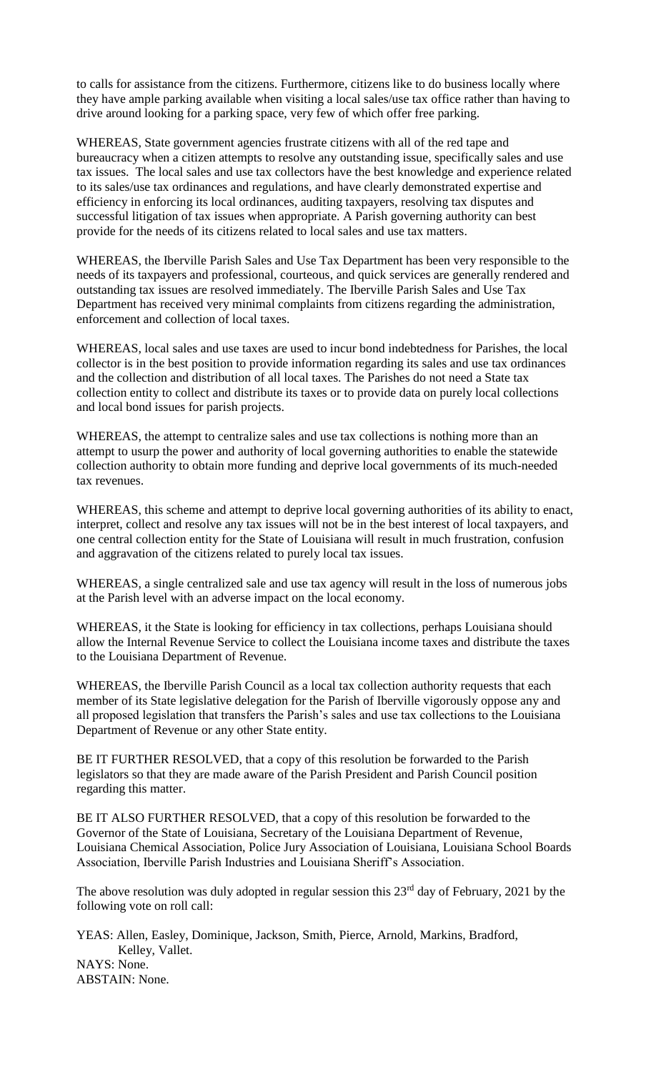to calls for assistance from the citizens. Furthermore, citizens like to do business locally where they have ample parking available when visiting a local sales/use tax office rather than having to drive around looking for a parking space, very few of which offer free parking.

WHEREAS, State government agencies frustrate citizens with all of the red tape and bureaucracy when a citizen attempts to resolve any outstanding issue, specifically sales and use tax issues. The local sales and use tax collectors have the best knowledge and experience related to its sales/use tax ordinances and regulations, and have clearly demonstrated expertise and efficiency in enforcing its local ordinances, auditing taxpayers, resolving tax disputes and successful litigation of tax issues when appropriate. A Parish governing authority can best provide for the needs of its citizens related to local sales and use tax matters.

WHEREAS, the Iberville Parish Sales and Use Tax Department has been very responsible to the needs of its taxpayers and professional, courteous, and quick services are generally rendered and outstanding tax issues are resolved immediately. The Iberville Parish Sales and Use Tax Department has received very minimal complaints from citizens regarding the administration, enforcement and collection of local taxes.

WHEREAS, local sales and use taxes are used to incur bond indebtedness for Parishes, the local collector is in the best position to provide information regarding its sales and use tax ordinances and the collection and distribution of all local taxes. The Parishes do not need a State tax collection entity to collect and distribute its taxes or to provide data on purely local collections and local bond issues for parish projects.

WHEREAS, the attempt to centralize sales and use tax collections is nothing more than an attempt to usurp the power and authority of local governing authorities to enable the statewide collection authority to obtain more funding and deprive local governments of its much-needed tax revenues.

WHEREAS, this scheme and attempt to deprive local governing authorities of its ability to enact, interpret, collect and resolve any tax issues will not be in the best interest of local taxpayers, and one central collection entity for the State of Louisiana will result in much frustration, confusion and aggravation of the citizens related to purely local tax issues.

WHEREAS, a single centralized sale and use tax agency will result in the loss of numerous jobs at the Parish level with an adverse impact on the local economy.

WHEREAS, it the State is looking for efficiency in tax collections, perhaps Louisiana should allow the Internal Revenue Service to collect the Louisiana income taxes and distribute the taxes to the Louisiana Department of Revenue.

WHEREAS, the Iberville Parish Council as a local tax collection authority requests that each member of its State legislative delegation for the Parish of Iberville vigorously oppose any and all proposed legislation that transfers the Parish's sales and use tax collections to the Louisiana Department of Revenue or any other State entity.

BE IT FURTHER RESOLVED, that a copy of this resolution be forwarded to the Parish legislators so that they are made aware of the Parish President and Parish Council position regarding this matter.

BE IT ALSO FURTHER RESOLVED, that a copy of this resolution be forwarded to the Governor of the State of Louisiana, Secretary of the Louisiana Department of Revenue, Louisiana Chemical Association, Police Jury Association of Louisiana, Louisiana School Boards Association, Iberville Parish Industries and Louisiana Sheriff's Association.

The above resolution was duly adopted in regular session this  $23<sup>rd</sup>$  day of February, 2021 by the following vote on roll call:

YEAS: Allen, Easley, Dominique, Jackson, Smith, Pierce, Arnold, Markins, Bradford, Kelley, Vallet. NAYS: None.

ABSTAIN: None.